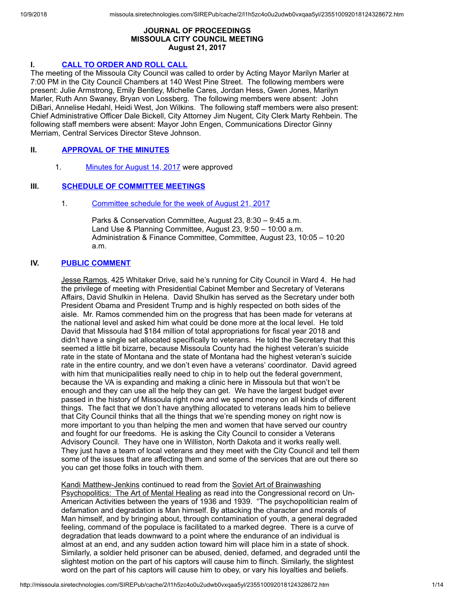## **JOURNAL OF PROCEEDINGS MISSOULA CITY COUNCIL MEETING August 21, 2017**

# **I. CALL TO [ORDER](http://missoula.siretechnologies.com/SIREPub/agdocs.aspx?doctype=minutes&itemid=42560) AND ROLL CALL**

The meeting of the Missoula City Council was called to order by Acting Mayor Marilyn Marler at 7:00 PM in the City Council Chambers at 140 West Pine Street. The following members were present: Julie Armstrong, Emily Bentley, Michelle Cares, Jordan Hess, Gwen Jones, Marilyn Marler, Ruth Ann Swaney, Bryan von Lossberg. The following members were absent: John DiBari, Annelise Hedahl, Heidi West, Jon Wilkins. The following staff members were also present: Chief Administrative Officer Dale Bickell, City Attorney Jim Nugent, City Clerk Marty Rehbein. The following staff members were absent: Mayor John Engen, Communications Director Ginny Merriam, Central Services Director Steve Johnson.

# **II. [APPROVAL](http://missoula.siretechnologies.com/SIREPub/agdocs.aspx?doctype=minutes&itemid=42561) OF THE MINUTES**

1. [Minutes](http://missoula.siretechnologies.com/SIREPub/agdocs.aspx?doctype=minutes&itemid=42995) for August 14, 2017 were approved

# **III. SCHEDULE OF [COMMITTEE](http://missoula.siretechnologies.com/SIREPub/agdocs.aspx?doctype=minutes&itemid=42562) MEETINGS**

# 1. [Committee](http://missoula.siretechnologies.com/SIREPub/agdocs.aspx?doctype=minutes&itemid=43065) schedule for the week of August 21, 2017

Parks & Conservation Committee, August 23, 8:30 – 9:45 a.m. Land Use & Planning Committee, August 23, 9:50 – 10:00 a.m. Administration & Finance Committee, Committee, August 23, 10:05 – 10:20 a.m.

# **IV. PUBLIC [COMMENT](http://missoula.siretechnologies.com/SIREPub/agdocs.aspx?doctype=minutes&itemid=42563)**

Jesse Ramos, 425 Whitaker Drive, said he's running for City Council in Ward 4. He had the privilege of meeting with Presidential Cabinet Member and Secretary of Veterans Affairs, David Shulkin in Helena. David Shulkin has served as the Secretary under both President Obama and President Trump and is highly respected on both sides of the aisle. Mr. Ramos commended him on the progress that has been made for veterans at the national level and asked him what could be done more at the local level. He told David that Missoula had \$184 million of total appropriations for fiscal year 2018 and didn't have a single set allocated specifically to veterans. He told the Secretary that this seemed a little bit bizarre, because Missoula County had the highest veteran's suicide rate in the state of Montana and the state of Montana had the highest veteran's suicide rate in the entire country, and we don't even have a veterans' coordinator. David agreed with him that municipalities really need to chip in to help out the federal government, because the VA is expanding and making a clinic here in Missoula but that won't be enough and they can use all the help they can get. We have the largest budget ever passed in the history of Missoula right now and we spend money on all kinds of different things. The fact that we don't have anything allocated to veterans leads him to believe that City Council thinks that all the things that we're spending money on right now is more important to you than helping the men and women that have served our country and fought for our freedoms. He is asking the City Council to consider a Veterans Advisory Council. They have one in Williston, North Dakota and it works really well. They just have a team of local veterans and they meet with the City Council and tell them some of the issues that are affecting them and some of the services that are out there so you can get those folks in touch with them.

Kandi Matthew-Jenkins continued to read from the Soviet Art of Brainwashing Psychopolitics: The Art of Mental Healing as read into the Congressional record on Un-American Activities between the years of 1936 and 1939. "The psychopolitician realm of defamation and degradation is Man himself. By attacking the character and morals of Man himself, and by bringing about, through contamination of youth, a general degraded feeling, command of the populace is facilitated to a marked degree. There is a curve of degradation that leads downward to a point where the endurance of an individual is almost at an end, and any sudden action toward him will place him in a state of shock. Similarly, a soldier held prisoner can be abused, denied, defamed, and degraded until the slightest motion on the part of his captors will cause him to flinch. Similarly, the slightest word on the part of his captors will cause him to obey, or vary his loyalties and beliefs.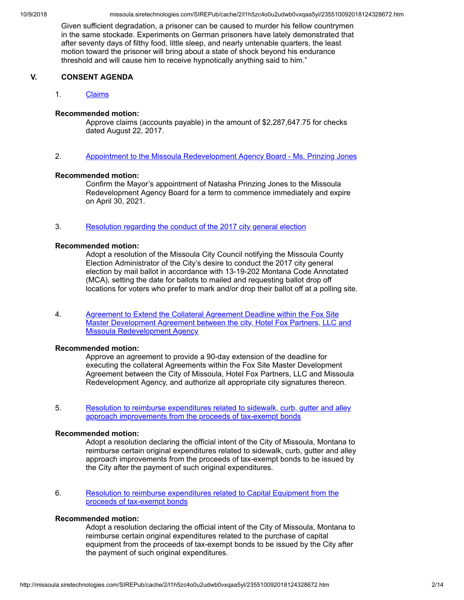Given sufficient degradation, a prisoner can be caused to murder his fellow countrymen in the same stockade. Experiments on German prisoners have lately demonstrated that after seventy days of filthy food, little sleep, and nearly untenable quarters, the least motion toward the prisoner will bring about a state of shock beyond his endurance threshold and will cause him to receive hypnotically anything said to him."

# **V. CONSENT AGENDA**

## 1. [Claims](http://missoula.siretechnologies.com/SIREPub/agdocs.aspx?doctype=minutes&itemid=43041)

### **Recommended motion:**

Approve claims (accounts payable) in the amount of \$2,287,647.75 for checks dated August 22, 2017.

2. Appointment to the Missoula [Redevelopment](http://missoula.siretechnologies.com/SIREPub/agdocs.aspx?doctype=minutes&itemid=43029) Agency Board - Ms. Prinzing Jones

#### **Recommended motion:**

Confirm the Mayor's appointment of Natasha Prinzing Jones to the Missoula Redevelopment Agency Board for a term to commence immediately and expire on April 30, 2021.

3. [Resolution](http://missoula.siretechnologies.com/SIREPub/agdocs.aspx?doctype=minutes&itemid=43030) regarding the conduct of the 2017 city general election

### **Recommended motion:**

Adopt a resolution of the Missoula City Council notifying the Missoula County Election Administrator of the City's desire to conduct the 2017 city general election by mail ballot in accordance with 13-19-202 Montana Code Annotated (MCA), setting the date for ballots to mailed and requesting ballot drop off locations for voters who prefer to mark and/or drop their ballot off at a polling site.

4. Agreement to Extend the Collateral Agreement Deadline within the Fox Site Master Development Agreement between the city, Hotel Fox Partners, LLC and Missoula [Redevelopment](http://missoula.siretechnologies.com/SIREPub/agdocs.aspx?doctype=minutes&itemid=43031) Agency

#### **Recommended motion:**

Approve an agreement to provide a 90-day extension of the deadline for executing the collateral Agreements within the Fox Site Master Development Agreement between the City of Missoula, Hotel Fox Partners, LLC and Missoula Redevelopment Agency, and authorize all appropriate city signatures thereon.

5. Resolution to reimburse expenditures related to sidewalk, curb, gutter and alley approach [improvements](http://missoula.siretechnologies.com/SIREPub/agdocs.aspx?doctype=minutes&itemid=43032) from the proceeds of tax-exempt bonds

### **Recommended motion:**

Adopt a resolution declaring the official intent of the City of Missoula, Montana to reimburse certain original expenditures related to sidewalk, curb, gutter and alley approach improvements from the proceeds of tax-exempt bonds to be issued by the City after the payment of such original expenditures.

6. Resolution to reimburse [expenditures](http://missoula.siretechnologies.com/SIREPub/agdocs.aspx?doctype=minutes&itemid=43033) related to Capital Equipment from the proceeds of tax-exempt bonds

### **Recommended motion:**

Adopt a resolution declaring the official intent of the City of Missoula, Montana to reimburse certain original expenditures related to the purchase of capital equipment from the proceeds of tax-exempt bonds to be issued by the City after the payment of such original expenditures.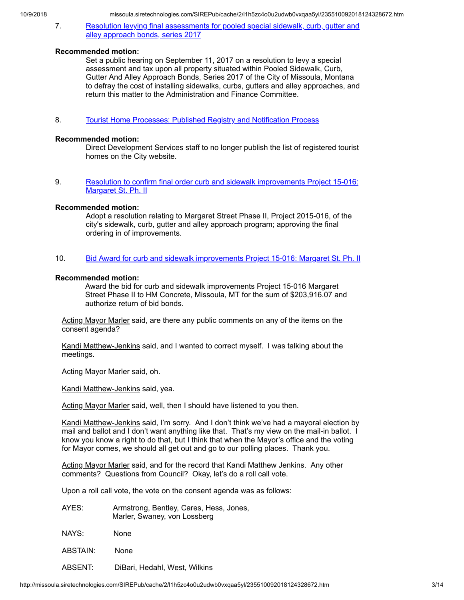7. Resolution levying final [assessments](http://missoula.siretechnologies.com/SIREPub/agdocs.aspx?doctype=minutes&itemid=43034) for pooled special sidewalk, curb, gutter and alley approach bonds, series 2017

## **Recommended motion:**

Set a public hearing on September 11, 2017 on a resolution to levy a special assessment and tax upon all property situated within Pooled Sidewalk, Curb, Gutter And Alley Approach Bonds, Series 2017 of the City of Missoula, Montana to defray the cost of installing sidewalks, curbs, gutters and alley approaches, and return this matter to the Administration and Finance Committee.

8. Tourist Home Processes: Published Registry and [Notification](http://missoula.siretechnologies.com/SIREPub/agdocs.aspx?doctype=minutes&itemid=43036) Process

## **Recommended motion:**

Direct Development Services staff to no longer publish the list of registered tourist homes on the City website.

9. Resolution to confirm final order curb and sidewalk [improvements](http://missoula.siretechnologies.com/SIREPub/agdocs.aspx?doctype=minutes&itemid=43037) Project 15-016: Margaret St. Ph. II

## **Recommended motion:**

Adopt a resolution relating to Margaret Street Phase II, Project 2015-016, of the city's sidewalk, curb, gutter and alley approach program; approving the final ordering in of improvements.

10. Bid Award for curb and sidewalk [improvements](http://missoula.siretechnologies.com/SIREPub/agdocs.aspx?doctype=minutes&itemid=43038) Project 15-016: Margaret St. Ph. II

## **Recommended motion:**

Award the bid for curb and sidewalk improvements Project 15-016 Margaret Street Phase II to HM Concrete, Missoula, MT for the sum of \$203,916.07 and authorize return of bid bonds.

Acting Mayor Marler said, are there any public comments on any of the items on the consent agenda?

Kandi Matthew-Jenkins said, and I wanted to correct myself. I was talking about the meetings.

Acting Mayor Marler said, oh.

Kandi Matthew-Jenkins said, yea.

Acting Mayor Marler said, well, then I should have listened to you then.

Kandi Matthew-Jenkins said, I'm sorry. And I don't think we've had a mayoral election by mail and ballot and I don't want anything like that. That's my view on the mail-in ballot. I know you know a right to do that, but I think that when the Mayor's office and the voting for Mayor comes, we should all get out and go to our polling places. Thank you.

Acting Mayor Marler said, and for the record that Kandi Matthew Jenkins. Any other comments? Questions from Council? Okay, let's do a roll call vote.

Upon a roll call vote, the vote on the consent agenda was as follows:

- AYES: Armstrong, Bentley, Cares, Hess, Jones, Marler, Swaney, von Lossberg
- NAYS: None
- ABSTAIN: None

ABSENT: DiBari, Hedahl, West, Wilkins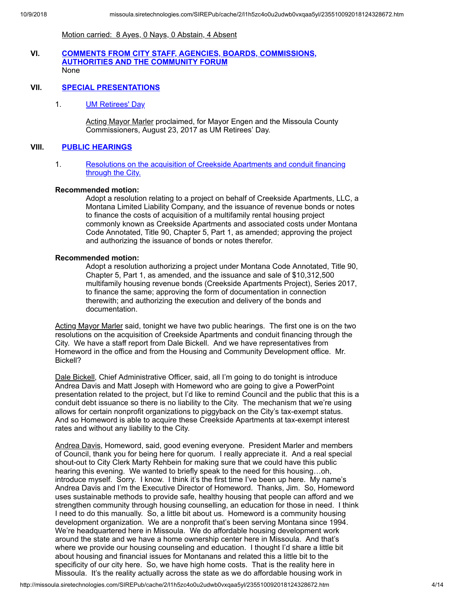Motion carried: 8 Ayes, 0 Nays, 0 Abstain, 4 Absent

### **VI. COMMENTS FROM CITY STAFF, AGENCIES, BOARDS, [COMMISSIONS,](http://missoula.siretechnologies.com/SIREPub/agdocs.aspx?doctype=minutes&itemid=42565) AUTHORITIES AND THE COMMUNITY FORUM** None

## **VII. SPECIAL [PRESENTATIONS](http://missoula.siretechnologies.com/SIREPub/agdocs.aspx?doctype=minutes&itemid=42566)**

1. **UM [Retirees'](http://missoula.siretechnologies.com/SIREPub/agdocs.aspx?doctype=minutes&itemid=42976) Day** 

Acting Mayor Marler proclaimed, for Mayor Engen and the Missoula County Commissioners, August 23, 2017 as UM Retirees' Day.

## **VIII. PUBLIC [HEARINGS](http://missoula.siretechnologies.com/SIREPub/agdocs.aspx?doctype=minutes&itemid=42567)**

1. [Resolutions](http://missoula.siretechnologies.com/SIREPub/agdocs.aspx?doctype=minutes&itemid=42997) on the acquisition of Creekside Apartments and conduit financing through the City.

#### **Recommended motion:**

Adopt a resolution relating to a project on behalf of Creekside Apartments, LLC, a Montana Limited Liability Company, and the issuance of revenue bonds or notes to finance the costs of acquisition of a multifamily rental housing project commonly known as Creekside Apartments and associated costs under Montana Code Annotated, Title 90, Chapter 5, Part 1, as amended; approving the project and authorizing the issuance of bonds or notes therefor.

### **Recommended motion:**

Adopt a resolution authorizing a project under Montana Code Annotated, Title 90, Chapter 5, Part 1, as amended, and the issuance and sale of \$10,312,500 multifamily housing revenue bonds (Creekside Apartments Project), Series 2017, to finance the same; approving the form of documentation in connection therewith; and authorizing the execution and delivery of the bonds and documentation.

Acting Mayor Marler said, tonight we have two public hearings. The first one is on the two resolutions on the acquisition of Creekside Apartments and conduit financing through the City. We have a staff report from Dale Bickell. And we have representatives from Homeword in the office and from the Housing and Community Development office. Mr. Bickell?

Dale Bickell, Chief Administrative Officer, said, all I'm going to do tonight is introduce Andrea Davis and Matt Joseph with Homeword who are going to give a PowerPoint presentation related to the project, but I'd like to remind Council and the public that this is a conduit debt issuance so there is no liability to the City. The mechanism that we're using allows for certain nonprofit organizations to piggyback on the City's tax-exempt status. And so Homeword is able to acquire these Creekside Apartments at tax-exempt interest rates and without any liability to the City.

Andrea Davis, Homeword, said, good evening everyone. President Marler and members of Council, thank you for being here for quorum. I really appreciate it. And a real special shout-out to City Clerk Marty Rehbein for making sure that we could have this public hearing this evening. We wanted to briefly speak to the need for this housing…oh, introduce myself. Sorry. I know. I think it's the first time I've been up here. My name's Andrea Davis and I'm the Executive Director of Homeword. Thanks, Jim. So, Homeword uses sustainable methods to provide safe, healthy housing that people can afford and we strengthen community through housing counselling, an education for those in need. I think I need to do this manually. So, a little bit about us. Homeword is a community housing development organization. We are a nonprofit that's been serving Montana since 1994. We're headquartered here in Missoula. We do affordable housing development work around the state and we have a home ownership center here in Missoula. And that's where we provide our housing counseling and education. I thought I'd share a little bit about housing and financial issues for Montanans and related this a little bit to the specificity of our city here. So, we have high home costs. That is the reality here in Missoula. It's the reality actually across the state as we do affordable housing work in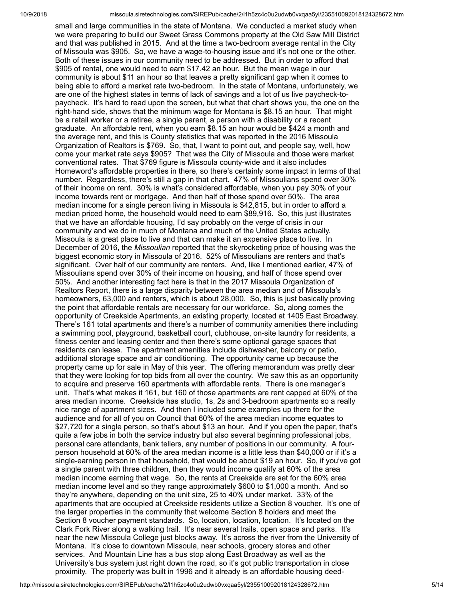small and large communities in the state of Montana. We conducted a market study when we were preparing to build our Sweet Grass Commons property at the Old Saw Mill District and that was published in 2015. And at the time a two-bedroom average rental in the City of Missoula was \$905. So, we have a wage-to-housing issue and it's not one or the other. Both of these issues in our community need to be addressed. But in order to afford that \$905 of rental, one would need to earn \$17.42 an hour. But the mean wage in our community is about \$11 an hour so that leaves a pretty significant gap when it comes to being able to afford a market rate two-bedroom. In the state of Montana, unfortunately, we are one of the highest states in terms of lack of savings and a lot of us live paycheck-topaycheck. It's hard to read upon the screen, but what that chart shows you, the one on the right-hand side, shows that the minimum wage for Montana is \$8.15 an hour. That might be a retail worker or a retiree, a single parent, a person with a disability or a recent graduate. An affordable rent, when you earn \$8.15 an hour would be \$424 a month and the average rent, and this is County statistics that was reported in the 2016 Missoula Organization of Realtors is \$769. So, that, I want to point out, and people say, well, how come your market rate says \$905? That was the City of Missoula and those were market conventional rates. That \$769 figure is Missoula county-wide and it also includes Homeword's affordable properties in there, so there's certainly some impact in terms of that number. Regardless, there's still a gap in that chart. 47% of Missoulians spend over 30% of their income on rent. 30% is what's considered affordable, when you pay 30% of your income towards rent or mortgage. And then half of those spend over 50%. The area median income for a single person living in Missoula is \$42,815, but in order to afford a median priced home, the household would need to earn \$89,916. So, this just illustrates that we have an affordable housing, I'd say probably on the verge of crisis in our community and we do in much of Montana and much of the United States actually. Missoula is a great place to live and that can make it an expensive place to live. In December of 2016, the *Missoulian* reported that the skyrocketing price of housing was the biggest economic story in Missoula of 2016. 52% of Missoulians are renters and that's significant. Over half of our community are renters. And, like I mentioned earlier, 47% of Missoulians spend over 30% of their income on housing, and half of those spend over 50%. And another interesting fact here is that in the 2017 Missoula Organization of Realtors Report, there is a large disparity between the area median and of Missoula's homeowners, 63,000 and renters, which is about 28,000. So, this is just basically proving the point that affordable rentals are necessary for our workforce. So, along comes the opportunity of Creekside Apartments, an existing property, located at 1405 East Broadway. There's 161 total apartments and there's a number of community amenities there including a swimming pool, playground, basketball court, clubhouse, on-site laundry for residents, a fitness center and leasing center and then there's some optional garage spaces that residents can lease. The apartment amenities include dishwasher, balcony or patio, additional storage space and air conditioning. The opportunity came up because the property came up for sale in May of this year. The offering memorandum was pretty clear that they were looking for top bids from all over the country. We saw this as an opportunity to acquire and preserve 160 apartments with affordable rents. There is one manager's unit. That's what makes it 161, but 160 of those apartments are rent capped at 60% of the area median income. Creekside has studio, 1s, 2s and 3-bedroom apartments so a really nice range of apartment sizes. And then I included some examples up there for the audience and for all of you on Council that 60% of the area median income equates to \$27,720 for a single person, so that's about \$13 an hour. And if you open the paper, that's quite a few jobs in both the service industry but also several beginning professional jobs, personal care attendants, bank tellers, any number of positions in our community. A fourperson household at 60% of the area median income is a little less than \$40,000 or if it's a single-earning person in that household, that would be about \$19 an hour. So, if you've got a single parent with three children, then they would income qualify at 60% of the area median income earning that wage. So, the rents at Creekside are set for the 60% area median income level and so they range approximately \$600 to \$1,000 a month. And so they're anywhere, depending on the unit size, 25 to 40% under market. 33% of the apartments that are occupied at Creekside residents utilize a Section 8 voucher. It's one of the larger properties in the community that welcome Section 8 holders and meet the Section 8 voucher payment standards. So, location, location, location. It's located on the Clark Fork River along a walking trail. It's near several trails, open space and parks. It's near the new Missoula College just blocks away. It's across the river from the University of Montana. It's close to downtown Missoula, near schools, grocery stores and other services. And Mountain Line has a bus stop along East Broadway as well as the University's bus system just right down the road, so it's got public transportation in close proximity. The property was built in 1996 and it already is an affordable housing deed-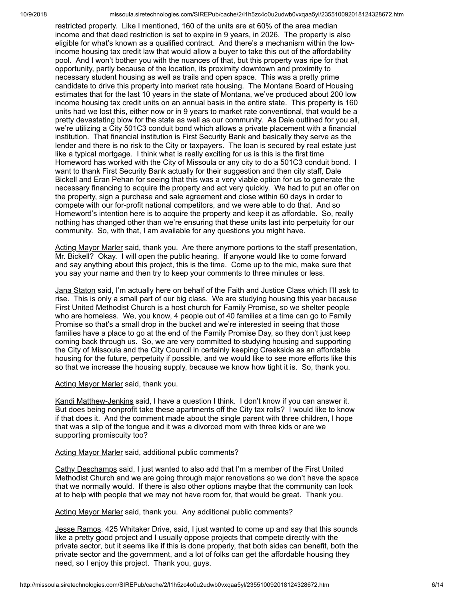restricted property. Like I mentioned, 160 of the units are at 60% of the area median income and that deed restriction is set to expire in 9 years, in 2026. The property is also eligible for what's known as a qualified contract. And there's a mechanism within the lowincome housing tax credit law that would allow a buyer to take this out of the affordability pool. And I won't bother you with the nuances of that, but this property was ripe for that opportunity, partly because of the location, its proximity downtown and proximity to necessary student housing as well as trails and open space. This was a pretty prime candidate to drive this property into market rate housing. The Montana Board of Housing estimates that for the last 10 years in the state of Montana, we've produced about 200 low income housing tax credit units on an annual basis in the entire state. This property is 160 units had we lost this, either now or in 9 years to market rate conventional, that would be a pretty devastating blow for the state as well as our community. As Dale outlined for you all, we're utilizing a City 501C3 conduit bond which allows a private placement with a financial institution. That financial institution is First Security Bank and basically they serve as the lender and there is no risk to the City or taxpayers. The loan is secured by real estate just like a typical mortgage. I think what is really exciting for us is this is the first time Homeword has worked with the City of Missoula or any city to do a 501C3 conduit bond. I want to thank First Security Bank actually for their suggestion and then city staff, Dale Bickell and Eran Pehan for seeing that this was a very viable option for us to generate the necessary financing to acquire the property and act very quickly. We had to put an offer on the property, sign a purchase and sale agreement and close within 60 days in order to compete with our for-profit national competitors, and we were able to do that. And so Homeword's intention here is to acquire the property and keep it as affordable. So, really nothing has changed other than we're ensuring that these units last into perpetuity for our community. So, with that, I am available for any questions you might have.

Acting Mayor Marler said, thank you. Are there anymore portions to the staff presentation, Mr. Bickell? Okay. I will open the public hearing. If anyone would like to come forward and say anything about this project, this is the time. Come up to the mic, make sure that you say your name and then try to keep your comments to three minutes or less.

Jana Staton said, I'm actually here on behalf of the Faith and Justice Class which I'll ask to rise. This is only a small part of our big class. We are studying housing this year because First United Methodist Church is a host church for Family Promise, so we shelter people who are homeless. We, you know, 4 people out of 40 families at a time can go to Family Promise so that's a small drop in the bucket and we're interested in seeing that those families have a place to go at the end of the Family Promise Day, so they don't just keep coming back through us. So, we are very committed to studying housing and supporting the City of Missoula and the City Council in certainly keeping Creekside as an affordable housing for the future, perpetuity if possible, and we would like to see more efforts like this so that we increase the housing supply, because we know how tight it is. So, thank you.

### Acting Mayor Marler said, thank you.

Kandi Matthew-Jenkins said, I have a question I think. I don't know if you can answer it. But does being nonprofit take these apartments off the City tax rolls? I would like to know if that does it. And the comment made about the single parent with three children, I hope that was a slip of the tongue and it was a divorced mom with three kids or are we supporting promiscuity too?

#### Acting Mayor Marler said, additional public comments?

Cathy Deschamps said, I just wanted to also add that I'm a member of the First United Methodist Church and we are going through major renovations so we don't have the space that we normally would. If there is also other options maybe that the community can look at to help with people that we may not have room for, that would be great. Thank you.

## Acting Mayor Marler said, thank you. Any additional public comments?

Jesse Ramos, 425 Whitaker Drive, said, I just wanted to come up and say that this sounds like a pretty good project and I usually oppose projects that compete directly with the private sector, but it seems like if this is done properly, that both sides can benefit, both the private sector and the government, and a lot of folks can get the affordable housing they need, so I enjoy this project. Thank you, guys.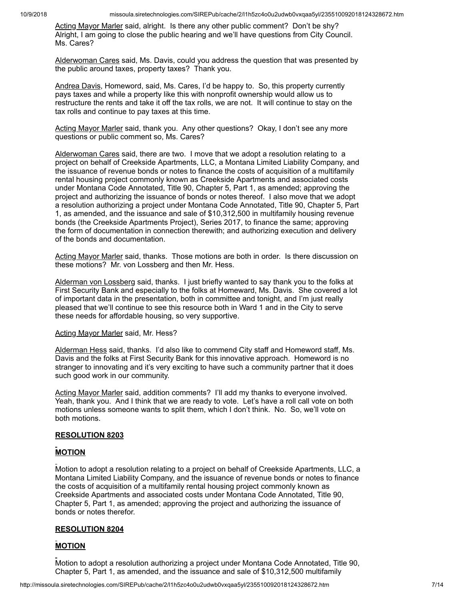Acting Mayor Marler said, alright. Is there any other public comment? Don't be shy? Alright, I am going to close the public hearing and we'll have questions from City Council. Ms. Cares?

Alderwoman Cares said, Ms. Davis, could you address the question that was presented by the public around taxes, property taxes? Thank you.

Andrea Davis, Homeword, said, Ms. Cares, I'd be happy to. So, this property currently pays taxes and while a property like this with nonprofit ownership would allow us to restructure the rents and take it off the tax rolls, we are not. It will continue to stay on the tax rolls and continue to pay taxes at this time.

Acting Mayor Marler said, thank you. Any other questions? Okay, I don't see any more questions or public comment so, Ms. Cares?

Alderwoman Cares said, there are two. I move that we adopt a resolution relating to a project on behalf of Creekside Apartments, LLC, a Montana Limited Liability Company, and the issuance of revenue bonds or notes to finance the costs of acquisition of a multifamily rental housing project commonly known as Creekside Apartments and associated costs under Montana Code Annotated, Title 90, Chapter 5, Part 1, as amended; approving the project and authorizing the issuance of bonds or notes thereof. I also move that we adopt a resolution authorizing a project under Montana Code Annotated, Title 90, Chapter 5, Part 1, as amended, and the issuance and sale of \$10,312,500 in multifamily housing revenue bonds (the Creekside Apartments Project), Series 2017, to finance the same; approving the form of documentation in connection therewith; and authorizing execution and delivery of the bonds and documentation.

Acting Mayor Marler said, thanks. Those motions are both in order. Is there discussion on these motions? Mr. von Lossberg and then Mr. Hess.

Alderman von Lossberg said, thanks. I just briefly wanted to say thank you to the folks at First Security Bank and especially to the folks at Homeward, Ms. Davis. She covered a lot of important data in the presentation, both in committee and tonight, and I'm just really pleased that we'll continue to see this resource both in Ward 1 and in the City to serve these needs for affordable housing, so very supportive.

### Acting Mayor Marler said, Mr. Hess?

Alderman Hess said, thanks. I'd also like to commend City staff and Homeword staff, Ms. Davis and the folks at First Security Bank for this innovative approach. Homeword is no stranger to innovating and it's very exciting to have such a community partner that it does such good work in our community.

Acting Mayor Marler said, addition comments? I'll add my thanks to everyone involved. Yeah, thank you. And I think that we are ready to vote. Let's have a roll call vote on both motions unless someone wants to split them, which I don't think. No. So, we'll vote on both motions.

### **RESOLUTION 8203**

## **MOTION**

Motion to adopt a resolution relating to a project on behalf of Creekside Apartments, LLC, a Montana Limited Liability Company, and the issuance of revenue bonds or notes to finance the costs of acquisition of a multifamily rental housing project commonly known as Creekside Apartments and associated costs under Montana Code Annotated, Title 90, Chapter 5, Part 1, as amended; approving the project and authorizing the issuance of bonds or notes therefor.

## **RESOLUTION 8204**

## **MOTION**

Motion to adopt a resolution authorizing a project under Montana Code Annotated, Title 90, Chapter 5, Part 1, as amended, and the issuance and sale of \$10,312,500 multifamily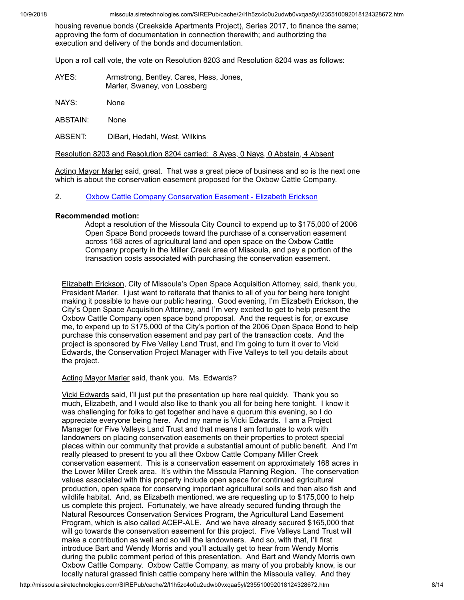housing revenue bonds (Creekside Apartments Project), Series 2017, to finance the same; approving the form of documentation in connection therewith; and authorizing the execution and delivery of the bonds and documentation.

Upon a roll call vote, the vote on Resolution 8203 and Resolution 8204 was as follows:

| AYES: | Armstrong, Bentley, Cares, Hess, Jones, |
|-------|-----------------------------------------|
|       | Marler, Swaney, von Lossberg            |

NAYS: None

ABSTAIN: None

ABSENT: DiBari, Hedahl, West, Wilkins

Resolution 8203 and Resolution 8204 carried: 8 Ayes, 0 Nays, 0 Abstain, 4 Absent

Acting Mayor Marler said, great. That was a great piece of business and so is the next one which is about the conservation easement proposed for the Oxbow Cattle Company.

2. Oxbow Cattle Company [Conservation](http://missoula.siretechnologies.com/SIREPub/agdocs.aspx?doctype=minutes&itemid=42996) Easement - Elizabeth Erickson

## **Recommended motion:**

Adopt a resolution of the Missoula City Council to expend up to \$175,000 of 2006 Open Space Bond proceeds toward the purchase of a conservation easement across 168 acres of agricultural land and open space on the Oxbow Cattle Company property in the Miller Creek area of Missoula, and pay a portion of the transaction costs associated with purchasing the conservation easement.

Elizabeth Erickson, City of Missoula's Open Space Acquisition Attorney, said, thank you, President Marler. I just want to reiterate that thanks to all of you for being here tonight making it possible to have our public hearing. Good evening, I'm Elizabeth Erickson, the City's Open Space Acquisition Attorney, and I'm very excited to get to help present the Oxbow Cattle Company open space bond proposal. And the request is for, or excuse me, to expend up to \$175,000 of the City's portion of the 2006 Open Space Bond to help purchase this conservation easement and pay part of the transaction costs. And the project is sponsored by Five Valley Land Trust, and I'm going to turn it over to Vicki Edwards, the Conservation Project Manager with Five Valleys to tell you details about the project.

Acting Mayor Marler said, thank you. Ms. Edwards?

Vicki Edwards said, I'll just put the presentation up here real quickly. Thank you so much, Elizabeth, and I would also like to thank you all for being here tonight. I know it was challenging for folks to get together and have a quorum this evening, so I do appreciate everyone being here. And my name is Vicki Edwards. I am a Project Manager for Five Valleys Land Trust and that means I am fortunate to work with landowners on placing conservation easements on their properties to protect special places within our community that provide a substantial amount of public benefit. And I'm really pleased to present to you all thee Oxbow Cattle Company Miller Creek conservation easement. This is a conservation easement on approximately 168 acres in the Lower Miller Creek area. It's within the Missoula Planning Region. The conservation values associated with this property include open space for continued agricultural production, open space for conserving important agricultural soils and then also fish and wildlife habitat. And, as Elizabeth mentioned, we are requesting up to \$175,000 to help us complete this project. Fortunately, we have already secured funding through the Natural Resources Conservation Services Program, the Agricultural Land Easement Program, which is also called ACEP-ALE. And we have already secured \$165,000 that will go towards the conservation easement for this project. Five Valleys Land Trust will make a contribution as well and so will the landowners. And so, with that, I'll first introduce Bart and Wendy Morris and you'll actually get to hear from Wendy Morris during the public comment period of this presentation. And Bart and Wendy Morris own Oxbow Cattle Company. Oxbow Cattle Company, as many of you probably know, is our locally natural grassed finish cattle company here within the Missoula valley. And they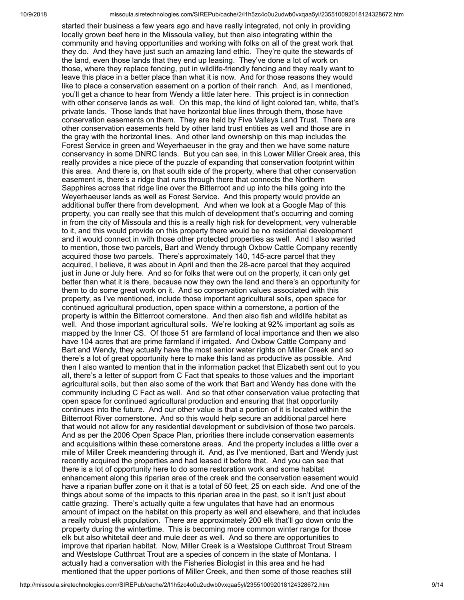started their business a few years ago and have really integrated, not only in providing locally grown beef here in the Missoula valley, but then also integrating within the community and having opportunities and working with folks on all of the great work that they do. And they have just such an amazing land ethic. They're quite the stewards of the land, even those lands that they end up leasing. They've done a lot of work on those, where they replace fencing, put in wildlife-friendly fencing and they really want to leave this place in a better place than what it is now. And for those reasons they would like to place a conservation easement on a portion of their ranch. And, as I mentioned, you'll get a chance to hear from Wendy a little later here. This project is in connection with other conserve lands as well. On this map, the kind of light colored tan, white, that's private lands. Those lands that have horizontal blue lines through them, those have conservation easements on them. They are held by Five Valleys Land Trust. There are other conservation easements held by other land trust entities as well and those are in the gray with the horizontal lines. And other land ownership on this map includes the Forest Service in green and Weyerhaeuser in the gray and then we have some nature conservancy in some DNRC lands. But you can see, in this Lower Miller Creek area, this really provides a nice piece of the puzzle of expanding that conservation footprint within this area. And there is, on that south side of the property, where that other conservation easement is, there's a ridge that runs through there that connects the Northern Sapphires across that ridge line over the Bitterroot and up into the hills going into the Weyerhaeuser lands as well as Forest Service. And this property would provide an additional buffer there from development. And when we look at a Google Map of this property, you can really see that this mulch of development that's occurring and coming in from the city of Missoula and this is a really high risk for development, very vulnerable to it, and this would provide on this property there would be no residential development and it would connect in with those other protected properties as well. And I also wanted to mention, those two parcels, Bart and Wendy through Oxbow Cattle Company recently acquired those two parcels. There's approximately 140, 145-acre parcel that they acquired, I believe, it was about in April and then the 28-acre parcel that they acquired just in June or July here. And so for folks that were out on the property, it can only get better than what it is there, because now they own the land and there's an opportunity for them to do some great work on it. And so conservation values associated with this property, as I've mentioned, include those important agricultural soils, open space for continued agricultural production, open space within a cornerstone, a portion of the property is within the Bitterroot cornerstone. And then also fish and wildlife habitat as well. And those important agricultural soils. We're looking at 92% important ag soils as mapped by the Inner CS. Of those 51 are farmland of local importance and then we also have 104 acres that are prime farmland if irrigated. And Oxbow Cattle Company and Bart and Wendy, they actually have the most senior water rights on Miller Creek and so there's a lot of great opportunity here to make this land as productive as possible. And then I also wanted to mention that in the information packet that Elizabeth sent out to you all, there's a letter of support from C Fact that speaks to those values and the important agricultural soils, but then also some of the work that Bart and Wendy has done with the community including C Fact as well. And so that other conservation value protecting that open space for continued agricultural production and ensuring that that opportunity continues into the future. And our other value is that a portion of it is located within the Bitterroot River cornerstone. And so this would help secure an additional parcel here that would not allow for any residential development or subdivision of those two parcels. And as per the 2006 Open Space Plan, priorities there include conservation easements and acquisitions within these cornerstone areas. And the property includes a little over a mile of Miller Creek meandering through it. And, as I've mentioned, Bart and Wendy just recently acquired the properties and had leased it before that. And you can see that there is a lot of opportunity here to do some restoration work and some habitat enhancement along this riparian area of the creek and the conservation easement would have a riparian buffer zone on it that is a total of 50 feet, 25 on each side. And one of the things about some of the impacts to this riparian area in the past, so it isn't just about cattle grazing. There's actually quite a few ungulates that have had an enormous amount of impact on the habitat on this property as well and elsewhere, and that includes a really robust elk population. There are approximately 200 elk that'll go down onto the property during the wintertime. This is becoming more common winter range for those elk but also whitetail deer and mule deer as well. And so there are opportunities to improve that riparian habitat. Now, Miller Creek is a Westslope Cutthroat Trout Stream and Westslope Cutthroat Trout are a species of concern in the state of Montana. I actually had a conversation with the Fisheries Biologist in this area and he had mentioned that the upper portions of Miller Creek, and then some of those reaches still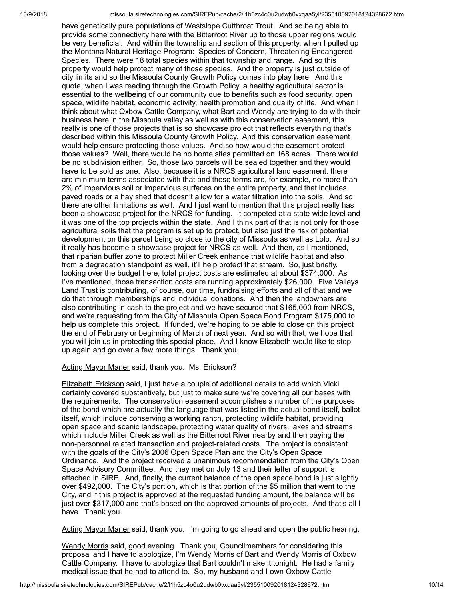have genetically pure populations of Westslope Cutthroat Trout. And so being able to provide some connectivity here with the Bitterroot River up to those upper regions would be very beneficial. And within the township and section of this property, when I pulled up the Montana Natural Heritage Program: Species of Concern, Threatening Endangered Species. There were 18 total species within that township and range. And so this property would help protect many of those species. And the property is just outside of city limits and so the Missoula County Growth Policy comes into play here. And this quote, when I was reading through the Growth Policy, a healthy agricultural sector is essential to the wellbeing of our community due to benefits such as food security, open space, wildlife habitat, economic activity, health promotion and quality of life. And when I think about what Oxbow Cattle Company, what Bart and Wendy are trying to do with their business here in the Missoula valley as well as with this conservation easement, this really is one of those projects that is so showcase project that reflects everything that's described within this Missoula County Growth Policy. And this conservation easement would help ensure protecting those values. And so how would the easement protect those values? Well, there would be no home sites permitted on 168 acres. There would be no subdivision either. So, those two parcels will be sealed together and they would have to be sold as one. Also, because it is a NRCS agricultural land easement, there are minimum terms associated with that and those terms are, for example, no more than 2% of impervious soil or impervious surfaces on the entire property, and that includes paved roads or a hay shed that doesn't allow for a water filtration into the soils. And so there are other limitations as well. And I just want to mention that this project really has been a showcase project for the NRCS for funding. It competed at a state-wide level and it was one of the top projects within the state. And I think part of that is not only for those agricultural soils that the program is set up to protect, but also just the risk of potential development on this parcel being so close to the city of Missoula as well as Lolo. And so it really has become a showcase project for NRCS as well. And then, as I mentioned, that riparian buffer zone to protect Miller Creek enhance that wildlife habitat and also from a degradation standpoint as well, it'll help protect that stream. So, just briefly, looking over the budget here, total project costs are estimated at about \$374,000. As I've mentioned, those transaction costs are running approximately \$26,000. Five Valleys Land Trust is contributing, of course, our time, fundraising efforts and all of that and we do that through memberships and individual donations. And then the landowners are also contributing in cash to the project and we have secured that \$165,000 from NRCS, and we're requesting from the City of Missoula Open Space Bond Program \$175,000 to help us complete this project. If funded, we're hoping to be able to close on this project the end of February or beginning of March of next year. And so with that, we hope that you will join us in protecting this special place. And I know Elizabeth would like to step up again and go over a few more things. Thank you.

Acting Mayor Marler said, thank you. Ms. Erickson?

Elizabeth Erickson said, I just have a couple of additional details to add which Vicki certainly covered substantively, but just to make sure we're covering all our bases with the requirements. The conservation easement accomplishes a number of the purposes of the bond which are actually the language that was listed in the actual bond itself, ballot itself, which include conserving a working ranch, protecting wildlife habitat, providing open space and scenic landscape, protecting water quality of rivers, lakes and streams which include Miller Creek as well as the Bitterroot River nearby and then paying the non-personnel related transaction and project-related costs. The project is consistent with the goals of the City's 2006 Open Space Plan and the City's Open Space Ordinance. And the project received a unanimous recommendation from the City's Open Space Advisory Committee. And they met on July 13 and their letter of support is attached in SIRE. And, finally, the current balance of the open space bond is just slightly over \$492,000. The City's portion, which is that portion of the \$5 million that went to the City, and if this project is approved at the requested funding amount, the balance will be just over \$317,000 and that's based on the approved amounts of projects. And that's all I have. Thank you.

Acting Mayor Marler said, thank you. I'm going to go ahead and open the public hearing.

Wendy Morris said, good evening. Thank you, Councilmembers for considering this proposal and I have to apologize, I'm Wendy Morris of Bart and Wendy Morris of Oxbow Cattle Company. I have to apologize that Bart couldn't make it tonight. He had a family medical issue that he had to attend to. So, my husband and I own Oxbow Cattle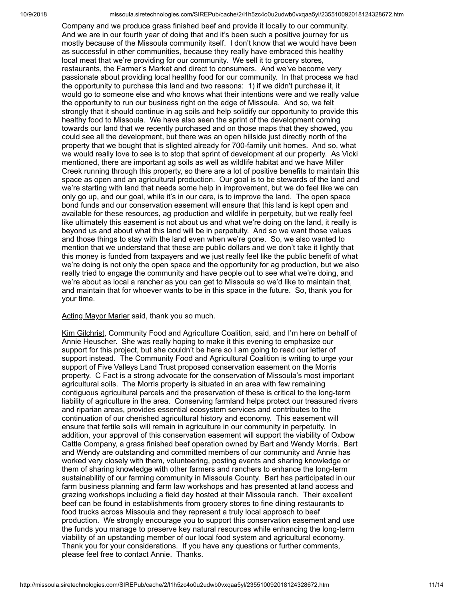Company and we produce grass finished beef and provide it locally to our community. And we are in our fourth year of doing that and it's been such a positive journey for us mostly because of the Missoula community itself. I don't know that we would have been as successful in other communities, because they really have embraced this healthy local meat that we're providing for our community. We sell it to grocery stores, restaurants, the Farmer's Market and direct to consumers. And we've become very passionate about providing local healthy food for our community. In that process we had the opportunity to purchase this land and two reasons: 1) if we didn't purchase it, it would go to someone else and who knows what their intentions were and we really value the opportunity to run our business right on the edge of Missoula. And so, we felt strongly that it should continue in ag soils and help solidify our opportunity to provide this healthy food to Missoula. We have also seen the sprint of the development coming towards our land that we recently purchased and on those maps that they showed, you could see all the development, but there was an open hillside just directly north of the property that we bought that is slighted already for 700-family unit homes. And so, what we would really love to see is to stop that sprint of development at our property. As Vicki mentioned, there are important ag soils as well as wildlife habitat and we have Miller Creek running through this property, so there are a lot of positive benefits to maintain this space as open and an agricultural production. Our goal is to be stewards of the land and we're starting with land that needs some help in improvement, but we do feel like we can only go up, and our goal, while it's in our care, is to improve the land. The open space bond funds and our conservation easement will ensure that this land is kept open and available for these resources, ag production and wildlife in perpetuity, but we really feel like ultimately this easement is not about us and what we're doing on the land, it really is beyond us and about what this land will be in perpetuity. And so we want those values and those things to stay with the land even when we're gone. So, we also wanted to mention that we understand that these are public dollars and we don't take it lightly that this money is funded from taxpayers and we just really feel like the public benefit of what we're doing is not only the open space and the opportunity for ag production, but we also really tried to engage the community and have people out to see what we're doing, and we're about as local a rancher as you can get to Missoula so we'd like to maintain that, and maintain that for whoever wants to be in this space in the future. So, thank you for your time.

### Acting Mayor Marler said, thank you so much.

Kim Gilchrist, Community Food and Agriculture Coalition, said, and I'm here on behalf of Annie Heuscher. She was really hoping to make it this evening to emphasize our support for this project, but she couldn't be here so I am going to read our letter of support instead. The Community Food and Agricultural Coalition is writing to urge your support of Five Valleys Land Trust proposed conservation easement on the Morris property. C Fact is a strong advocate for the conservation of Missoula's most important agricultural soils. The Morris property is situated in an area with few remaining contiguous agricultural parcels and the preservation of these is critical to the long-term liability of agriculture in the area. Conserving farmland helps protect our treasured rivers and riparian areas, provides essential ecosystem services and contributes to the continuation of our cherished agricultural history and economy. This easement will ensure that fertile soils will remain in agriculture in our community in perpetuity. In addition, your approval of this conservation easement will support the viability of Oxbow Cattle Company, a grass finished beef operation owned by Bart and Wendy Morris. Bart and Wendy are outstanding and committed members of our community and Annie has worked very closely with them, volunteering, posting events and sharing knowledge or them of sharing knowledge with other farmers and ranchers to enhance the long-term sustainability of our farming community in Missoula County. Bart has participated in our farm business planning and farm law workshops and has presented at land access and grazing workshops including a field day hosted at their Missoula ranch. Their excellent beef can be found in establishments from grocery stores to fine dining restaurants to food trucks across Missoula and they represent a truly local approach to beef production. We strongly encourage you to support this conservation easement and use the funds you manage to preserve key natural resources while enhancing the long-term viability of an upstanding member of our local food system and agricultural economy. Thank you for your considerations. If you have any questions or further comments, please feel free to contact Annie. Thanks.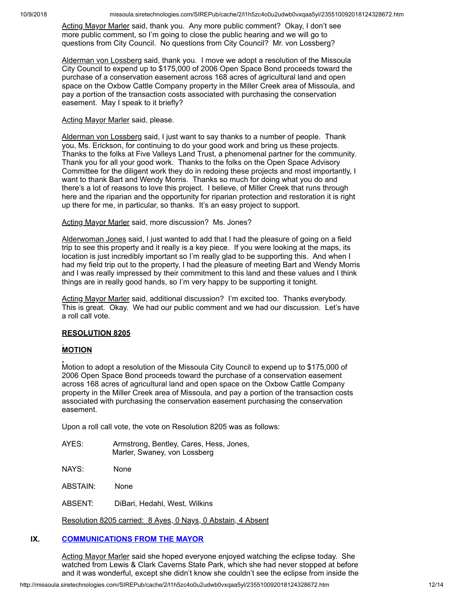Acting Mayor Marler said, thank you. Any more public comment? Okay, I don't see more public comment, so I'm going to close the public hearing and we will go to questions from City Council. No questions from City Council? Mr. von Lossberg?

Alderman von Lossberg said, thank you. I move we adopt a resolution of the Missoula City Council to expend up to \$175,000 of 2006 Open Space Bond proceeds toward the purchase of a conservation easement across 168 acres of agricultural land and open space on the Oxbow Cattle Company property in the Miller Creek area of Missoula, and pay a portion of the transaction costs associated with purchasing the conservation easement. May I speak to it briefly?

### Acting Mayor Marler said, please.

Alderman von Lossberg said, I just want to say thanks to a number of people. Thank you, Ms. Erickson, for continuing to do your good work and bring us these projects. Thanks to the folks at Five Valleys Land Trust, a phenomenal partner for the community. Thank you for all your good work. Thanks to the folks on the Open Space Advisory Committee for the diligent work they do in redoing these projects and most importantly, I want to thank Bart and Wendy Morris. Thanks so much for doing what you do and there's a lot of reasons to love this project. I believe, of Miller Creek that runs through here and the riparian and the opportunity for riparian protection and restoration it is right up there for me, in particular, so thanks. It's an easy project to support.

### Acting Mayor Marler said, more discussion? Ms. Jones?

Alderwoman Jones said, I just wanted to add that I had the pleasure of going on a field trip to see this property and it really is a key piece. If you were looking at the maps, its location is just incredibly important so I'm really glad to be supporting this. And when I had my field trip out to the property, I had the pleasure of meeting Bart and Wendy Morris and I was really impressed by their commitment to this land and these values and I think things are in really good hands, so I'm very happy to be supporting it tonight.

Acting Mayor Marler said, additional discussion? I'm excited too. Thanks everybody. This is great. Okay. We had our public comment and we had our discussion. Let's have a roll call vote.

## **RESOLUTION 8205**

# **MOTION**

Motion to adopt a resolution of the Missoula City Council to expend up to \$175,000 of 2006 Open Space Bond proceeds toward the purchase of a conservation easement across 168 acres of agricultural land and open space on the Oxbow Cattle Company property in the Miller Creek area of Missoula, and pay a portion of the transaction costs associated with purchasing the conservation easement purchasing the conservation easement.

Upon a roll call vote, the vote on Resolution 8205 was as follows:

| AYES: | Armstrong, Bentley, Cares, Hess, Jones, |
|-------|-----------------------------------------|
|       | Marler, Swaney, von Lossberg            |

NAYS: None

ABSTAIN: None

ABSENT: DiBari, Hedahl, West, Wilkins

Resolution 8205 carried: 8 Ayes, 0 Nays, 0 Abstain, 4 Absent

# **IX. [COMMUNICATIONS](http://missoula.siretechnologies.com/SIREPub/agdocs.aspx?doctype=minutes&itemid=42568) FROM THE MAYOR**

Acting Mayor Marler said she hoped everyone enjoyed watching the eclipse today. She watched from Lewis & Clark Caverns State Park, which she had never stopped at before and it was wonderful, except she didn't know she couldn't see the eclipse from inside the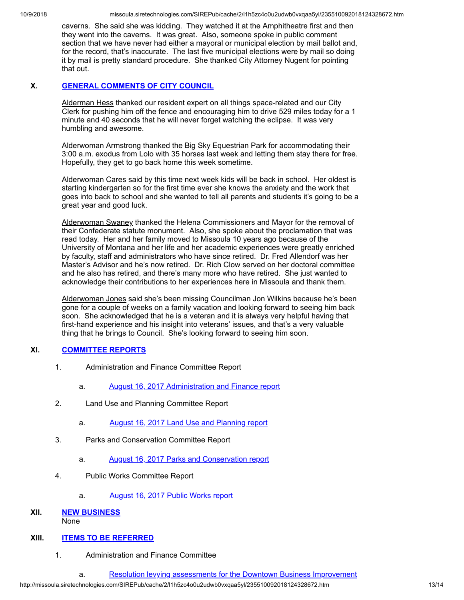caverns. She said she was kidding. They watched it at the Amphitheatre first and then they went into the caverns. It was great. Also, someone spoke in public comment section that we have never had either a mayoral or municipal election by mail ballot and, for the record, that's inaccurate. The last five municipal elections were by mail so doing it by mail is pretty standard procedure. She thanked City Attorney Nugent for pointing that out.

# **X. GENERAL [COMMENTS](http://missoula.siretechnologies.com/SIREPub/agdocs.aspx?doctype=minutes&itemid=42569) OF CITY COUNCIL**

Alderman Hess thanked our resident expert on all things space-related and our City Clerk for pushing him off the fence and encouraging him to drive 529 miles today for a 1 minute and 40 seconds that he will never forget watching the eclipse. It was very humbling and awesome.

Alderwoman Armstrong thanked the Big Sky Equestrian Park for accommodating their 3:00 a.m. exodus from Lolo with 35 horses last week and letting them stay there for free. Hopefully, they get to go back home this week sometime.

Alderwoman Cares said by this time next week kids will be back in school. Her oldest is starting kindergarten so for the first time ever she knows the anxiety and the work that goes into back to school and she wanted to tell all parents and students it's going to be a great year and good luck.

Alderwoman Swaney thanked the Helena Commissioners and Mayor for the removal of their Confederate statute monument. Also, she spoke about the proclamation that was read today. Her and her family moved to Missoula 10 years ago because of the University of Montana and her life and her academic experiences were greatly enriched by faculty, staff and administrators who have since retired. Dr. Fred Allendorf was her Master's Advisor and he's now retired. Dr. Rich Clow served on her doctoral committee and he also has retired, and there's many more who have retired. She just wanted to acknowledge their contributions to her experiences here in Missoula and thank them.

Alderwoman Jones said she's been missing Councilman Jon Wilkins because he's been gone for a couple of weeks on a family vacation and looking forward to seeing him back soon. She acknowledged that he is a veteran and it is always very helpful having that first-hand experience and his insight into veterans' issues, and that's a very valuable thing that he brings to Council. She's looking forward to seeing him soon.

# **XI. [COMMITTEE](http://missoula.siretechnologies.com/SIREPub/agdocs.aspx?doctype=minutes&itemid=42570) REPORTS**

- 1. Administration and Finance Committee Report
	- a. August 16, 2017 [Administration](http://missoula.siretechnologies.com/SIREPub/agdocs.aspx?doctype=minutes&itemid=43019) and Finance report
- 2. Land Use and Planning Committee Report
	- a. August 16, 2017 Land Use and [Planning](http://missoula.siretechnologies.com/SIREPub/agdocs.aspx?doctype=minutes&itemid=43018) report
- 3. Parks and Conservation Committee Report
	- a. August 16, 2017 Parks and [Conservation](http://missoula.siretechnologies.com/SIREPub/agdocs.aspx?doctype=minutes&itemid=43017) report
- 4. Public Works Committee Report
	- a. [August](http://missoula.siretechnologies.com/SIREPub/agdocs.aspx?doctype=minutes&itemid=43020) 16, 2017 Public Works report

## **XII. NEW [BUSINESS](http://missoula.siretechnologies.com/SIREPub/agdocs.aspx?doctype=minutes&itemid=42578)** None

## **XIII. ITEMS TO BE [REFERRED](http://missoula.siretechnologies.com/SIREPub/agdocs.aspx?doctype=minutes&itemid=42579)**

1. Administration and Finance Committee

a. Resolution levying [assessments](http://missoula.siretechnologies.com/SIREPub/agdocs.aspx?doctype=minutes&itemid=43039) for the Downtown Business Improvement